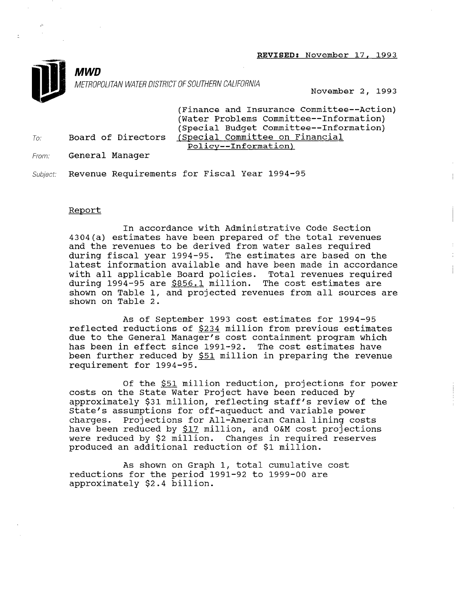REVISED: November 17, 1993



p.

METROPOLITAN WATER DISTRICT OF SOUTHERN CALIFORNIA November 2, 1993

(Finance and Insurance Committee--Action) (Water Problems Committee--Information) (Special Budget To: Board of Directors (Special Committee on Financial Policy--Information)

From: **General Manager** 

**MWD** 

Subject: Revenue Requirements for Fiscal Year 1994-95

### Report

In accordance with Administrative Code Section 4304(a) estimates have been prepared of the total revenues and the revenues to be derived from water sales required during fiscal year 1994-95. The estimates are based on the auting fitter jear 1991 900 the extractor are made on the<br>latest information available and have been made in accordanc with all applicable Board policies. Total revenues required during 1994-95 are \$856.1 million. The cost estimates are shown on Table 1, and projected revenues from all sources are shown on Table 2.

As of September 1993 cost estimates for 1994-95 reflected reductions of \$234 million from previous estimates due to the General Manager's cost containment program which has been in effect since 1991-92. The cost estimates have been further reduced by \$51 million in preparing the revenue requirement for 1994-95.

Of the \$51 million reduction, projections for power costs on the State Water Project have been reduced by approximately \$31 million, reflecting staff's review of the approximatery you multion, reflecting start s review of charges appumptions for Oli-aqueuuct and valiable power charges. Projections for All-American Canal lining costs<br>have been reduced by \$17 million, and O&M cost projections were been reduced by  $\frac{917}{100}$  million, and ban cost projective produced by 22 million. Changes in requested and the million.

As shown on Graph 1, total cumulative cost reductions for the period 1992-92 to 1992-00 are the period 1992-00 and 1992-00 are the period 1992-00 and 199 reductions for the period 1991-92 to 1999-00 are approximately \$2.4 billion.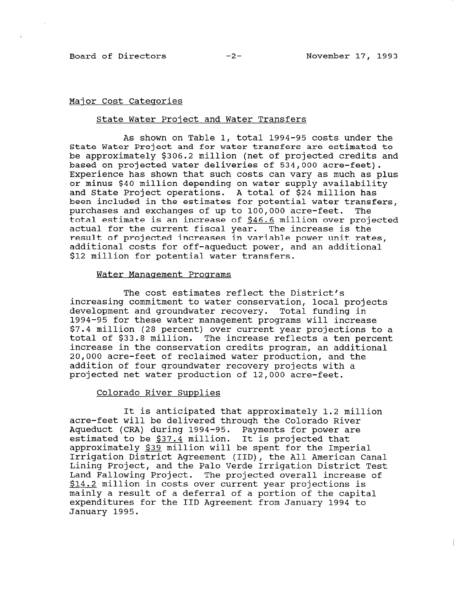$\sim$ 

ź.

### Major Cost Categories

### State Water Project and Water Transfers

As shown on Table 1, total 1994-95 costs under the State Water Project and for water transfers are estimated to be approximately \$306.2 million (net of projected credits and based on projected water deliveries of 534,000 acre-feet). Experience has shown that such costs can vary as much as plus or minus \$40 million depending on water supply availability and State Project operations. A total of \$24 million has been included in the estimates for potential water transfers, purchases and exchanges of up to 100,000 acre-feet. The total estimate is an increase of \$46.6 million over projected actual for the current fiscal year. The increase is the result of projected increases in variable power unit rates, additional costs for off-aqueduct power, and an additional \$12 million for potential water transfers.

#### Water Management Programs

The cost estimates reflect the District's increasing commitment to water conservation, local projects development and groundwater recovery. Total funding in 1994-95 for these water management programs will increase \$7.4 million (28 percent) over current year projections to a total of \$33.8 million. The increase reflects a ten percent increase in the conservation credits program, an additional 20,000 acre-feet of reclaimed water production, and the addition of four groundwater recovery projects with a projected net water production of 12,000 acre-feet.

## Colorado River Supplies

It is anticipated that approximately 1.2 million acre-feet will be delivered through the Colorado River Aqueduct (CRA) during 1994-95. Payments for power are estimated to be \$37.4 million. It is projected that approximately \$39 million will be spent for the Imperial approximately <u>939</u> militon will be spent for the Imperial Canal American Canal American Canal American Canal American Canal American Canal American Canal American Canal American Canal American Canal American Canal America Lining Project, and the Palo Verde Irrigation District Test Lining Project, and the Palo Verde Irrigation District Test Land Fallowing Project. The projected overall increase of  $$14.2$  million in costs over current year projections is mainly a result of a deferral of a portion of the capital expenditures for the IID Agreement from January 1994 to January 1995.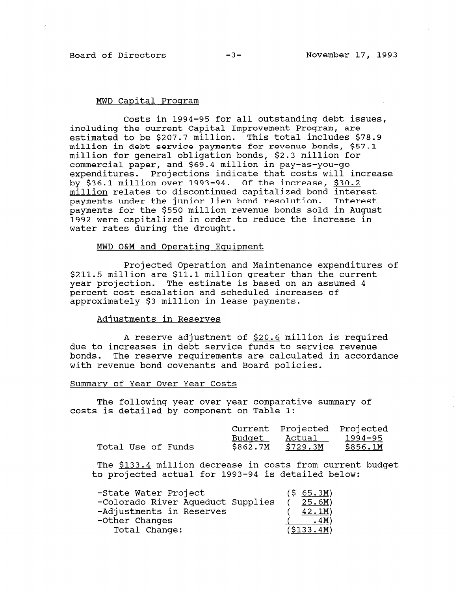### MWD Capital Program

Costs in 1994-95 for all outstanding debt issues, including the current Capital Improvement Program, are estimated to be \$207.7 million. This total includes \$78.9 million in debt service payments for revenue bonds, \$57.1 million for general obligation bonds, \$2.3 million for commercial paper, and \$69.4 million in pay-as-you-go expenditures. Projections indicate that costs will increase by \$36.1 million over 1993-94. Of the increase, \$30.2 million relates to discontinued capitalized bond interest payments under the junior lien bond resolution. Interest payments for the \$550 million revenue bonds sold in August 1992 were capitalized in order to reduce the increase in water rates during the drought.

#### MWD O&M and Operating Equipment

Projected Operation and Maintenance expenditures of \$211.5 million are \$11.1 million greater than the current year projection. The estimate is based on an assumed 4 percent cost escalation and scheduled increases of approximately \$3 million in lease payments.

### Adiustments in Reserves

A reserve adjustment of \$20.6 million is required due to increases in debt service funds to service revenue bonds. The reserve requirements are calculated in accordance with revenue bond covenants and Board policies.

#### Summary of Year Over Year Costs

The following year over year comparative summary of costs is detailed by component on Table 1:

|                    |  |          | Current Projected Projected |           |
|--------------------|--|----------|-----------------------------|-----------|
|                    |  | Budget   | Actual                      | - 1994–95 |
| Total Use of Funds |  | \$862.7M | \$729.3M                    | \$856.1M  |

The \$133.4 million decrease in costs from current budget to project actual for 1993-94 is detailed below

| -State Water Project<br>-Colorado River Aqueduct Supplies<br>-Adjustments in Reserves | (5 65.3M)<br>(25.6M)<br>$42.1M$ ) |
|---------------------------------------------------------------------------------------|-----------------------------------|
| -Other Changes                                                                        | <u>.4M</u> )                      |
| Total Change:                                                                         | (\$133.4M)                        |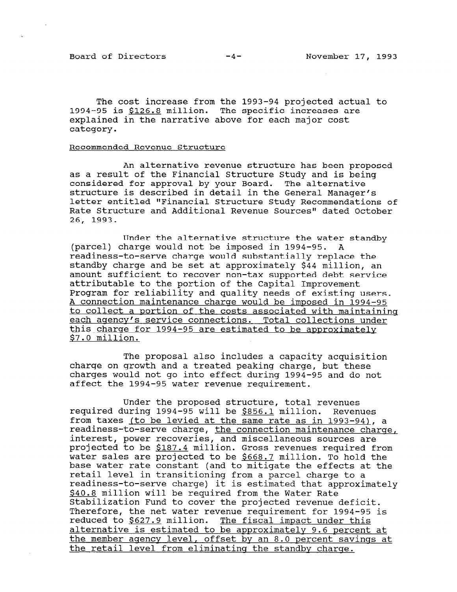Board of Directors -4- November 17, 1993

The cost increase from the 1993-94 projected actual to 1994-95 is \$126.8 million. The specific increases are explained in the narrative above for each major cost category.

## Recommended Revenue Structure

An alternative revenue structure has been proposed as a result of the Financial Structure Study and is being considered for approval by your Board. The alternative structure is described in detail in the General Manager's letter entitled "Financial Structure Study Recommendations of Rate Structure and Additional Revenue Sources" dated October 26, 1993.

Under the alternative structure the water standby (parcel) charge would not be imposed in 1994-95. A readiness-to-serve charge would substantially replace the standby charge and be set at approximately \$44 million, an amount sufficient to recover non-tax supported debt service attributable to the portion of the Capital Improvement Program for reliability and quality needs of existing users. A connection maintenance charge would be imposed in 1994-95 to collect a portion of the costs associated with maintaininq each agency's service connections. Total collections under this charge for 1994-95 are estimated to be approximately \$7.0 million.

The proposal also includes a capacity acquisition charge on growth and a treated peaking charge, but these charges would not go into effect during 1994-95 and do not affect the 1994-95 water revenue requirement.

Under the proposed structure, total revenues required during 1994-95 will be \$856.1 million. Revenues from taxes (to be levied at the same rate in 1999-94) readinesserve charge, the same rate as in 1993-94), a readiness-to-serve charge, the connection maintenance charge, interest, power recoveries, and miscellaneous sources are projected to be \$187.4 million. Gross revenues required from water sales are projected to be  $$668.7$  million. To hold the base water rate constant (and to mitigate the effects at the retail level in transitioning from a parcel charge to a readiness-to-serve charge) it is estimated that approximately \$40.8 million will be required from the Water Rate Stabilization Fund to cover the projected revenue deficit. Therefore, the net water revenue requirement for 1994-95 is reduced to \$627.9 million. The fiscal impact under this alternative is estimated to be approximately 9.6 percent at the member agency level, offset by an 8.0 percent savings at the retail level from eliminating the standby charge.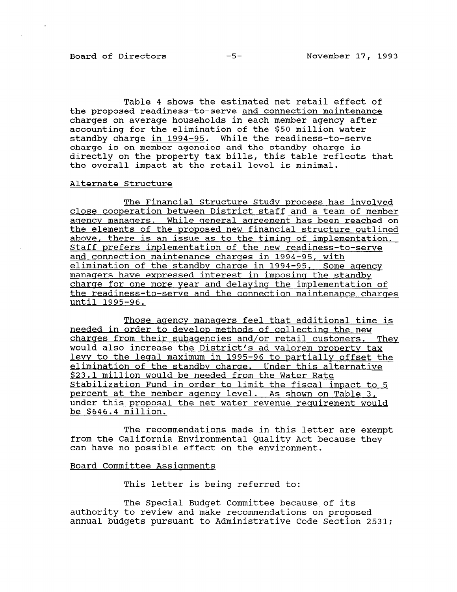Table 4 shows the estimated net retail effect of the proposed readiness-to-serve and connection maintenance charges on average households in each member agency after accounting for the elimination of the \$50 million water standby charge in 1994-95. While the readiness-to-serve charge is on member agencies and the standby charge is directly on the property tax bills, this table reflects that the overall impact at the retail level is minimal.

#### Alternate Structure

The Financial Structure Study process has involved close cooperation between District staff and a team of member aqencv manaqers. While qeneral aqreement has been reached on the elements of the proposed new financial structure outlined above, there is an issue as to the timinq of implementation. Staff prefers implementation of the new readiness-to-serve and connection maintenance charqes in 1994-95, with elimination of the standby charqe in 1994-95. Some aqency managers have expressed interest in imposinq the standby charqe for one more year and delayinq the implementation of the readiness-to-serve and the connection maintenance charqes until 1995-96.

Those aqencv manaqers feel that additional time is needed in order to develop methods of collecting the new charqes from their subaqencies and/or retail customers. They would also increase the District's ad valorem property tax levy to the leqal maximum in 1995-96 to partially offset the elimination of the standby charqe. Under this alternative \$23.1 million would be needed from the Water Rate Stabilization Fund in order to limit the fiscal impact to 5 percent at the member aqencv level. As shown on Table 3, under this proposal the net water revenue requirement would be \$646.4 million.

The recommendations made in this letter are exempt from the California Environmental Quality Act because they can have no possible effect on the environment.

#### Board Committee Assiqnments

This letter is being referred to:

The Special Budget Committee because of its authority to review and make recommendations on proposed annual budgets pursuant to Administrative Code Section 2531;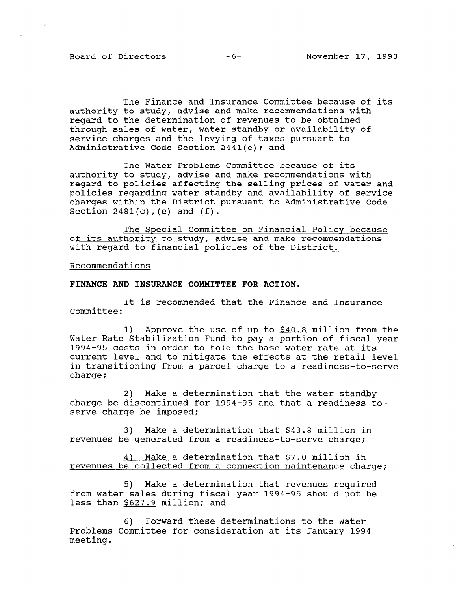Board of Directors -6- November 17, 1993

The Finance and Insurance Committee because of its authority to study, advise and make recommendations with regard to the determination of revenues to be obtained through sales of water, water standby or availability of service charges and the levying of taxes pursuant to Administrative Code Section 2441(e); and

The Water Problems Committee because of its authority to study, advise and make recommendations with regard to policies affecting the selling prices of water and policies regarding water standby and availability of service charges within the District pursuant to Administrative Code Section  $2481(c)$ , (e) and  $(f)$ .

The Special Committee on Financial Policv because of its authority to study, advise and make recommendations with regard to financial policies of the District.

Recommendations

FINANCE AND INSURANCE COMMITTEE FOR ACTION.

It is recommended that the Finance and Insurance Committee:

1) Approve the use of up to \$40.8 million from the Water Rate Stabilization Fund to pay a portion of fiscal year 1994-95 costs in order to hold the base water rate at its current level and to mitigate the effects at the retail level in transitioning from a parcel charge to a readiness-to-serve charge;

2) Make a determination that the water standby charge be discontinued for 1994-95 and that a readiness-toserve charge be imposed;

3) Make a determination that \$43.8 million in revenues be generated from a readiness-to-serve charge;

4) Make a determination that \$7.0 million in revenues be collected from a connection maintenance charge;

 $5)$  Make a determination that revenues required from the sales of the sales of beginning field in the shock of the shock of the shock shock in the shock of the shock of the shock of the shock of the shock of the shock of the shock of the shock of the shock of the shock from water sales during fiscal year 1994-95 should not be less than \$627.9 million; and

6) Forward these determinations to the Water 0) TOIWAIU LIESE GELEIMINALIONS LO LIIE WALEI meeting.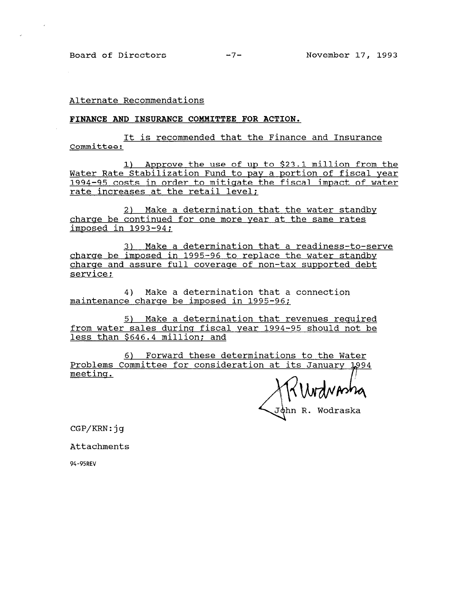Alternate Recommendations

#### FINANCE AND INSURANCE COMMITTEE FOR ACTION.

It is recommended that the Finance and Insurance Committee:

1) Approve the use of up to \$23.1 million from the Water Rate Stabilization Fund to pay a portion of fiscal year 1994-95 costs in order to mitigate the fiscal impact of water rate increases at the retail level;

2) Make a determination that the water standby charge be continued for one more year at the same rates imposed in 1993-94;

3) Make a determination that a readiness-to-serve charge be imposed in 1995-96 to replace the water standby charge and assure full coverage of non-tax supported debt service;

4) Make a determination that a connection maintenance charge be imposed in 1995-96;

5) Make a determination that revenues required from water sales during fiscal year 1994-95 should not be less than \$646.4 million; and

6) Forward these determinations to the Water Problems Committee for consideration at its January L994 meeting.

John R. Wodraska

CGP/KRN:jg

Attachments

94-95REV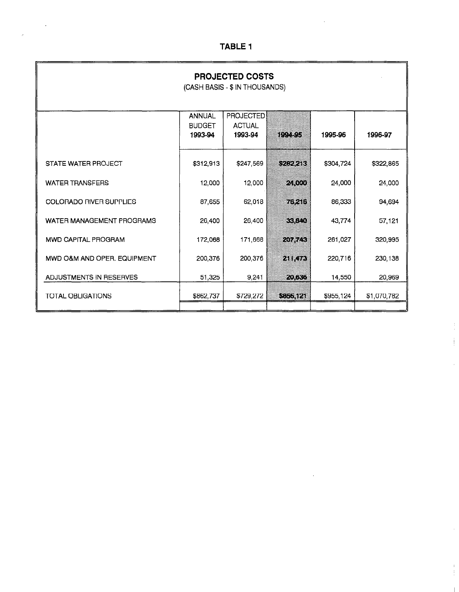| <b>PROJECTED COSTS</b><br>(CASH BASIS - \$ IN THOUSANDS) |                                           |                                              |         |           |             |  |  |
|----------------------------------------------------------|-------------------------------------------|----------------------------------------------|---------|-----------|-------------|--|--|
|                                                          | <b>ANNUAL</b><br><b>BUDGET</b><br>1993-94 | <b>PROJECTED</b><br><b>ACTUAL</b><br>1993-94 | n an an | 1995-96   | 1996-97     |  |  |
| STATE WATER PROJECT                                      | \$312,913                                 | \$247,569                                    | 5292210 | \$304,724 | \$322,865   |  |  |
| <b>WATER TRANSFERS</b>                                   | 12,000                                    | 12,000                                       | 2300    | 24,000    | 24,000      |  |  |
| <b>COLORADO RIVER SUPPLIES</b>                           | 87.655                                    | 62,018                                       | 76 A.O  | 86,333    | 94,694      |  |  |
| WATER MANAGEMENT PROGRAMS                                | 26,400                                    | 26,400                                       | 83.990  | 43,774    | 57,121      |  |  |
| <b>MWD CAPITAL PROGRAM</b>                               | 172,068                                   | 171,668                                      | 2077.00 | 261,027   | 320,995     |  |  |
| MWD O&M AND OPER, EQUIPMENT                              | 200,376                                   | 200,376                                      | ZNK78   | 220,716   | 230,138     |  |  |
| ADJUSTMENTS IN RESERVES                                  | 51,325                                    | 9,241                                        | 20.XG   | 14,550    | 20,969      |  |  |
| <b>TOTAL OBLIGATIONS</b>                                 | \$862,737                                 | \$729,272                                    | SUJOREA | \$955,124 | \$1,070,782 |  |  |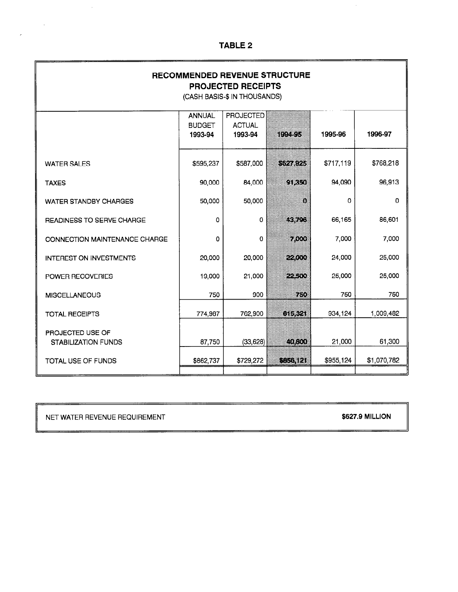| <b>RECOMMENDED REVENUE STRUCTURE</b><br><b>PROJECTED RECEIPTS</b><br>(CASH BASIS-\$ IN THOUSANDS) |                                           |                                              |          |           |             |  |  |
|---------------------------------------------------------------------------------------------------|-------------------------------------------|----------------------------------------------|----------|-----------|-------------|--|--|
|                                                                                                   | <b>ANNUAL</b><br><b>BUDGET</b><br>1993-94 | <b>PROJECTED</b><br><b>ACTUAL</b><br>1993-94 | IEM O    | 1995-96   | 1996-97     |  |  |
| <b>WATER SALES</b>                                                                                | \$595,237                                 | \$587,000                                    | 834894   | \$717,119 | \$768,218   |  |  |
| <b>TAXES</b>                                                                                      | 90,000                                    | 84,000                                       | GIKO)    | 94,090    | 96,913      |  |  |
| <b>WATER STANDBY CHARGES</b>                                                                      | 50,000                                    | 50,000                                       | O.       | 0         | 0           |  |  |
| READINESS TO SERVE CHARGE                                                                         | 0                                         | 0                                            | œx       | 66,165    | 86,601      |  |  |
| CONNECTION MAINTENANCE CHARGE                                                                     | 0                                         | 0                                            | 700      | 7,000     | 7,000       |  |  |
| <b>INTEREST ON INVESTMENTS</b>                                                                    | 20,000                                    | 20,000                                       | 22330    | 24,000    | 25,000      |  |  |
| POWER RECOVERIES                                                                                  | 19,000                                    | 21,000                                       | 220      | 25,000    | 25,000      |  |  |
| <b>MISCELLANEOUS</b>                                                                              | 750                                       | 900                                          | 750      | 750       | 750         |  |  |
| <b>TOTAL RECEIPTS</b>                                                                             | 774,987                                   | 762,900                                      | 833829   | 934,124   | 1,009,482   |  |  |
| PROJECTED USE OF<br><b>STABILIZATION FUNDS</b>                                                    | 87,750                                    | (33, 628)                                    | 800      | 21,000    | 61,300      |  |  |
| <b>TOTAL USE OF FUNDS</b>                                                                         | \$862,737                                 | \$729,272                                    | 6956.123 | \$955,124 | \$1,070,782 |  |  |

NET WATER REVENUE REQUIREMENT

 $\mathcal{A}^{\mathcal{A}}$ 

 $\sim 10^6$ 

 $\mathcal{L}$ 

**\$627.9 MILLION** 

 $\mathcal{L}^{\mathcal{A}}$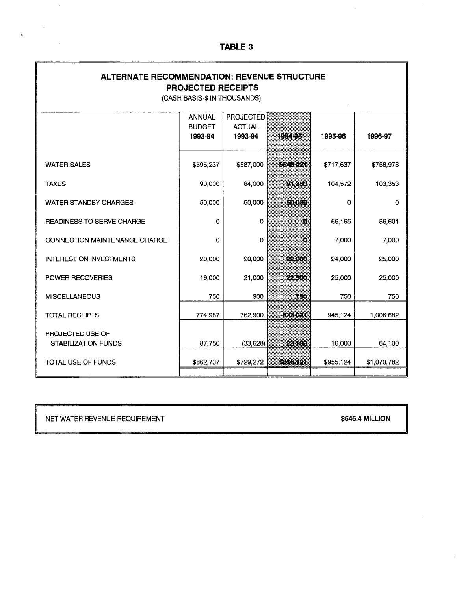| <b>ALTERNATE RECOMMENDATION: REVENUE STRUCTURE</b><br><b>PROJECTED RECEIPTS</b><br>(CASH BASIS-\$ IN THOUSANDS) |                                           |                                              |         |           |             |  |
|-----------------------------------------------------------------------------------------------------------------|-------------------------------------------|----------------------------------------------|---------|-----------|-------------|--|
|                                                                                                                 | <b>ANNUAL</b><br><b>BUDGET</b><br>1993-94 | <b>PROJECTED</b><br><b>ACTUAL</b><br>1993-94 | in 150  | 1995-96   | 1996-97     |  |
| <b>WATER SALES</b>                                                                                              | \$595,237                                 | \$587,000                                    | ra ka   | \$717,637 | \$758,978   |  |
| <b>TAXES</b>                                                                                                    | 90,000                                    | 84,000                                       | xkoj    | 104,572   | 103,353     |  |
| WATER STANDBY CHARGES                                                                                           | 50,000                                    | 50,000                                       | 3160    | 0         | 0           |  |
| <b>READINESS TO SERVE CHARGE</b>                                                                                | 0                                         | 0                                            | 83      | 66,165    | 86,601      |  |
| <b>CONNECTION MAINTENANCE CHARGE</b>                                                                            | 0                                         | 0                                            | 8       | 7,000     | 7,000       |  |
| <b>INTEREST ON INVESTMENTS</b>                                                                                  | 20,000                                    | 20,000                                       | 22333   | 24,000    | 25,000      |  |
| POWER RECOVERIES                                                                                                | 19,000                                    | 21,000                                       | 73.     | 25,000    | 25,000      |  |
| <b>MISCELLANEOUS</b>                                                                                            | 750                                       | 900                                          | 730     | 750       | 750         |  |
| <b>TOTAL RECEIPTS</b>                                                                                           | 774,987                                   | 762,900                                      | 83369   | 945,124   | 1,006,682   |  |
| PROJECTED USE OF<br><b>STABILIZATION FUNDS</b>                                                                  | 87,750                                    | (33, 628)                                    | 230     | 10,000    | 64,100      |  |
| <b>TOTAL USE OF FUNDS</b>                                                                                       | \$862,737                                 | \$729,272                                    | 6868121 | \$955,124 | \$1,070,782 |  |

NET WATER REVENUE REQUIREMENT

 $\sim$ 

 $\frac{1}{2} \left( \frac{1}{2} \right)$  ,  $\frac{1}{2} \left( \frac{1}{2} \right)$ 

 $\label{eq:2} \frac{1}{\sqrt{2\pi}}\int_{0}^{\infty}\frac{1}{\sqrt{2\pi}}\left(\frac{1}{\sqrt{2\pi}}\right)^{2}d\mu$ 

**\$646.4 MILLION** 

 $\mathcal{L}$ 

 $\frac{1}{2}$ 

 $\hat{\boldsymbol{\beta}}$ 

7

 $\hat{\mathcal{A}}$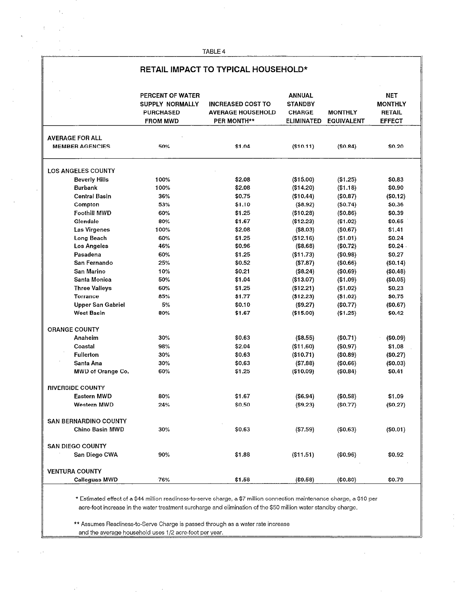i,

 $\overline{\phantom{a}}$ 

 $\bar{\psi}$  .

# RETAIL IMPACT TO TYPICAL HOUSEHOLD\*

|                                                  | PERCENT OF WATER<br>SUPPLY NORMALLY<br><b>PURCHASED</b><br><b>FROM MWD</b> | <b>INCREASED COST TO</b><br><b>AVERAGE HOUSEHOLD</b><br><b>PER MONTH**</b> | ANNUAL<br><b>STANDBY</b><br><b>CHARGE</b><br>ELIMINATED | <b>MONTHLY</b><br><b>EQUIVALENT</b> | NET<br><b>MONTHLY</b><br><b>RETAIL</b><br><b>EFFECT</b> |
|--------------------------------------------------|----------------------------------------------------------------------------|----------------------------------------------------------------------------|---------------------------------------------------------|-------------------------------------|---------------------------------------------------------|
| <b>AVERAGE FOR ALL</b><br><b>MEMBER AGENCIES</b> | 50%                                                                        | \$1.04                                                                     | (\$10.11)                                               | (\$0.84)                            | \$0.20                                                  |
| <b>LOS ANGELES COUNTY</b>                        |                                                                            |                                                                            |                                                         |                                     |                                                         |
| <b>Beverly Hills</b>                             | 100%                                                                       | \$2.08                                                                     | ( \$15.00)                                              | (\$1.25)                            | \$0.83                                                  |
| <b>Burbank</b>                                   | 100%                                                                       | \$2.08                                                                     | (\$14.20)                                               | (\$1.18)                            | \$0.90                                                  |
| <b>Central Basin</b>                             | 36%                                                                        | \$0.75                                                                     | (\$10.44)                                               | (\$0.87)                            | (\$0.12)                                                |
| Compton                                          | 53%                                                                        | \$1.10                                                                     | ( \$8.92)                                               | (50.74)                             | \$0.36                                                  |
| <b>Foothill MWD</b>                              | 60%                                                                        | \$1.25                                                                     | (\$10.28)                                               | (\$0.86)                            | \$0.39                                                  |
| Glendale                                         | 80%                                                                        | \$1.67                                                                     | (\$12.23)                                               | (\$1.02)                            | \$0.65                                                  |
| Las Virgenes                                     | 100%                                                                       | \$2.08                                                                     | ( \$8.03)                                               | (\$0.67)                            | \$1.41                                                  |
| Long Beach                                       | 60%                                                                        | \$1.25                                                                     | (\$12.16)                                               | (\$1.01)                            | \$0.24                                                  |
| Los Angeles                                      | 46%                                                                        | \$0.96                                                                     | (\$8.68)                                                | (\$0.72)                            | \$0.24                                                  |
| Pasadena                                         | 60%                                                                        | \$1.25                                                                     | ( \$11.73)                                              | $($ \$0.98)                         | \$0.27                                                  |
| San Fernando                                     | 25%                                                                        | \$0.52                                                                     | (\$7.87)                                                | (\$0.66)                            | (\$0.14)                                                |
| San Marino                                       | 10%                                                                        | \$0.21                                                                     | (\$8.24)                                                | (\$0.69)                            | (\$0.48)                                                |
| Santa Monica                                     | 50%                                                                        | \$1.04                                                                     | (\$13.07)                                               | (\$1.09)                            | (\$0.05)                                                |
| <b>Three Valleys</b>                             | 60%                                                                        | \$1,25                                                                     | (\$12.21)                                               | (\$1.02)                            | \$0.23                                                  |
| <b>Torrance</b>                                  | 85%                                                                        | \$1.77                                                                     | (\$12.23)                                               | (\$1.02)                            | \$0.75                                                  |
| <b>Upper San Gabriel</b>                         | 5%                                                                         | \$0.10                                                                     | (\$9.27)                                                | (\$0.77)                            | (\$0.67)                                                |
| <b>West Basin</b>                                | 80%                                                                        | \$1.67                                                                     | (\$15.00)                                               | (\$1.25)                            | \$0.42                                                  |
| <b>ORANGE COUNTY</b>                             |                                                                            |                                                                            |                                                         |                                     |                                                         |
| Anaheim                                          | 30%                                                                        | \$0.63                                                                     | ( \$8.55)                                               | (\$0.71)                            | (\$0.09)                                                |
| Coastal                                          | 98%                                                                        | \$2.04                                                                     | (\$11.60)                                               | (\$0.97)                            | \$1.08                                                  |
| <b>Fullerton</b>                                 | 30%                                                                        | \$0.63                                                                     | (\$10.71)                                               | (\$0.89)                            | (\$0.27)                                                |
| Santa Ana                                        | 30%                                                                        | \$0.63                                                                     | (\$7.88)                                                | (\$0.66)                            | (\$0.03)                                                |
| MWD of Orange Co.                                | 60%                                                                        | \$1.25                                                                     | (\$10.09)                                               | (\$0.84)                            | \$0.41                                                  |
| <b>RIVERSIDE COUNTY</b>                          |                                                                            |                                                                            |                                                         |                                     |                                                         |
| Eastern MWD                                      | 80%                                                                        | \$1.67                                                                     | (\$6.94)                                                | (\$0.58)                            | \$1.09                                                  |
| <b>Western MWD</b>                               | 24%                                                                        | \$0.50                                                                     | (\$9.23)                                                | (\$0.77)                            | (\$0.27)                                                |
|                                                  |                                                                            |                                                                            |                                                         |                                     |                                                         |
| <b>SAN BERNARDINO COUNTY</b>                     |                                                                            |                                                                            |                                                         |                                     |                                                         |
| Chino Basin MWD                                  | 30%                                                                        | \$0.63                                                                     | (\$7.59)                                                | (\$0.63)                            | (\$0.01)                                                |
| <b>SAN DIEGO COUNTY</b>                          |                                                                            |                                                                            |                                                         |                                     |                                                         |
| San Diego CWA                                    | 90%                                                                        | \$1.88                                                                     | (\$11.51)                                               | (\$0.96)                            | \$0.92                                                  |
| <b>VENTURA COUNTY</b>                            |                                                                            |                                                                            |                                                         |                                     |                                                         |
| <b>Calleguas MWD</b>                             | 76%                                                                        | \$1.58                                                                     | (\$9.58)                                                | (\$0.80)                            | \$0.79                                                  |
|                                                  |                                                                            |                                                                            |                                                         |                                     |                                                         |

\* Estimated effect of a \$44 million readiness-to-serve charge, a \$7 million connection maintenance charge, a \$10 per acre-foot increase in the water treatment surcharge and elimination of the \$50 million water standby charge.

and the average house is a control of the group of personal transmit